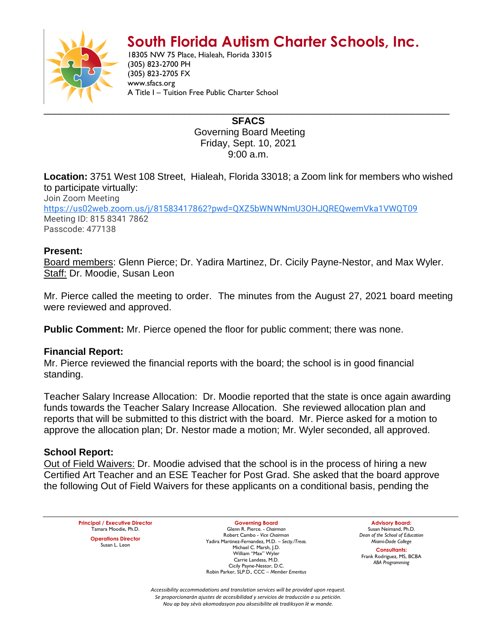# **South Florida Autism Charter Schools, Inc.**



18305 NW 75 Place, Hialeah, Florida 33015 (305) 823-2700 PH (305) 823-2705 FX www.sfacs.org A Title I – Tuition Free Public Charter School

> **SFACS** Governing Board Meeting Friday, Sept. 10, 2021 9:00 a.m.

**Location:** 3751 West 108 Street, Hialeah, Florida 33018; a Zoom link for members who wished to participate virtually:

Join Zoom Meeting [https://us02web.zoom.us/j/81583417862?pwd=QXZ5bWNWNmU3OHJQREQwemVka1VWQT09](https://www.google.com/url?q=https://us02web.zoom.us/j/81583417862?pwd%3DQXZ5bWNWNmU3OHJQREQwemVka1VWQT09&sa=D&source=calendar&ust=1632242418342937&usg=AOvVaw0nEmPN6nrhPmtuRJ16ekb1) Meeting ID: 815 8341 7862 Passcode: 477138

## **Present:**

Board members: Glenn Pierce; Dr. Yadira Martinez, Dr. Cicily Payne-Nestor, and Max Wyler. Staff: Dr. Moodie, Susan Leon

Mr. Pierce called the meeting to order. The minutes from the August 27, 2021 board meeting were reviewed and approved.

**Public Comment:** Mr. Pierce opened the floor for public comment; there was none.

## **Financial Report:**

Mr. Pierce reviewed the financial reports with the board; the school is in good financial standing.

Teacher Salary Increase Allocation: Dr. Moodie reported that the state is once again awarding funds towards the Teacher Salary Increase Allocation. She reviewed allocation plan and reports that will be submitted to this district with the board. Mr. Pierce asked for a motion to approve the allocation plan; Dr. Nestor made a motion; Mr. Wyler seconded, all approved.

## **School Report:**

Out of Field Waivers: Dr. Moodie advised that the school is in the process of hiring a new Certified Art Teacher and an ESE Teacher for Post Grad. She asked that the board approve the following Out of Field Waivers for these applicants on a conditional basis, pending the

**Principal / Executive Director** Tamara Moodie, Ph.D. **Operations Director** Susan L. Leon

**Governing Board** Glenn R. Pierce. - *Chairman* Robert Cambo - *Vice Chairman* Yadira Martinez-Fernandez, M.D. – *Secty./Treas.* Michael C. Marsh, J.D. William "Max" Wyler Carrie Landess, M.D. Cicily Payne-Nestor, D.C. Robin Parker, SLP.D., CCC – *Member Emeritus*

**Advisory Board:** Susan Neimand, Ph.D. *Dean of the School of Education Miami-Dade College*

**Consultants:** Frank Rodriguez, MS, BCBA *ABA Programming*

*Accessibility accommodations and translation services will be provided upon request. Se proporcionarán ajustes de accesibilidad y servicios de traducción a su petición. Nou ap bay sèvis akomodasyon pou aksesibilite ak tradiksyon lè w mande.*